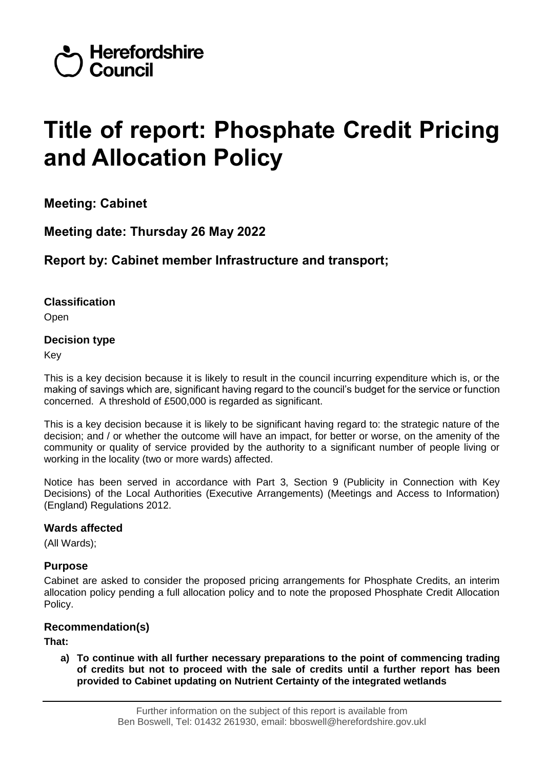

# **Title of report: Phosphate Credit Pricing and Allocation Policy**

**Meeting: Cabinet**

**Meeting date: Thursday 26 May 2022**

# **Report by: Cabinet member Infrastructure and transport;**

**Classification**

Open

# **Decision type**

Key

This is a key decision because it is likely to result in the council incurring expenditure which is, or the making of savings which are, significant having regard to the council's budget for the service or function concerned. A threshold of £500,000 is regarded as significant.

This is a key decision because it is likely to be significant having regard to: the strategic nature of the decision; and / or whether the outcome will have an impact, for better or worse, on the amenity of the community or quality of service provided by the authority to a significant number of people living or working in the locality (two or more wards) affected.

Notice has been served in accordance with Part 3, Section 9 (Publicity in Connection with Key Decisions) of the Local Authorities (Executive Arrangements) (Meetings and Access to Information) (England) Regulations 2012.

# **Wards affected**

(All Wards);

# **Purpose**

Cabinet are asked to consider the proposed pricing arrangements for Phosphate Credits, an interim allocation policy pending a full allocation policy and to note the proposed Phosphate Credit Allocation Policy.

# **Recommendation(s)**

**That:**

**a) To continue with all further necessary preparations to the point of commencing trading of credits but not to proceed with the sale of credits until a further report has been provided to Cabinet updating on Nutrient Certainty of the integrated wetlands**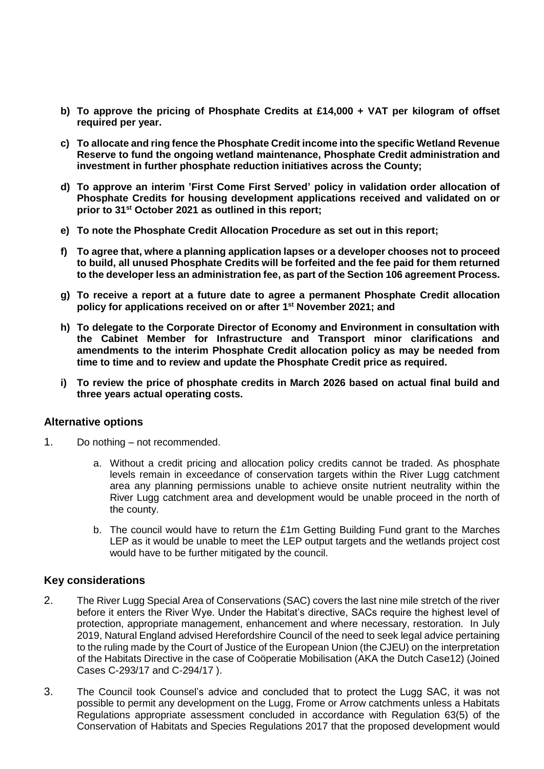- **b) To approve the pricing of Phosphate Credits at £14,000 + VAT per kilogram of offset required per year.**
- **c) To allocate and ring fence the Phosphate Credit income into the specific Wetland Revenue Reserve to fund the ongoing wetland maintenance, Phosphate Credit administration and investment in further phosphate reduction initiatives across the County;**
- **d) To approve an interim 'First Come First Served' policy in validation order allocation of Phosphate Credits for housing development applications received and validated on or prior to 31st October 2021 as outlined in this report;**
- **e) To note the Phosphate Credit Allocation Procedure as set out in this report;**
- **f) To agree that, where a planning application lapses or a developer chooses not to proceed to build, all unused Phosphate Credits will be forfeited and the fee paid for them returned to the developer less an administration fee, as part of the Section 106 agreement Process.**
- **g) To receive a report at a future date to agree a permanent Phosphate Credit allocation policy for applications received on or after 1st November 2021; and**
- **h) To delegate to the Corporate Director of Economy and Environment in consultation with the Cabinet Member for Infrastructure and Transport minor clarifications and amendments to the interim Phosphate Credit allocation policy as may be needed from time to time and to review and update the Phosphate Credit price as required.**
- **i) To review the price of phosphate credits in March 2026 based on actual final build and three years actual operating costs.**

#### **Alternative options**

- 1. Do nothing not recommended.
	- a. Without a credit pricing and allocation policy credits cannot be traded. As phosphate levels remain in exceedance of conservation targets within the River Lugg catchment area any planning permissions unable to achieve onsite nutrient neutrality within the River Lugg catchment area and development would be unable proceed in the north of the county.
	- b. The council would have to return the £1m Getting Building Fund grant to the Marches LEP as it would be unable to meet the LEP output targets and the wetlands project cost would have to be further mitigated by the council.

#### **Key considerations**

- 2. The River Lugg Special Area of Conservations (SAC) covers the last nine mile stretch of the river before it enters the River Wye. Under the Habitat's directive, SACs require the highest level of protection, appropriate management, enhancement and where necessary, restoration. In July 2019, Natural England advised Herefordshire Council of the need to seek legal advice pertaining to the ruling made by the Court of Justice of the European Union (the CJEU) on the interpretation of the Habitats Directive in the case of Coöperatie Mobilisation (AKA the Dutch Case12) (Joined Cases C-293/17 and C-294/17 ).
- 3. The Council took Counsel's advice and concluded that to protect the Lugg SAC, it was not possible to permit any development on the Lugg, Frome or Arrow catchments unless a Habitats Regulations appropriate assessment concluded in accordance with Regulation 63(5) of the Conservation of Habitats and Species Regulations 2017 that the proposed development would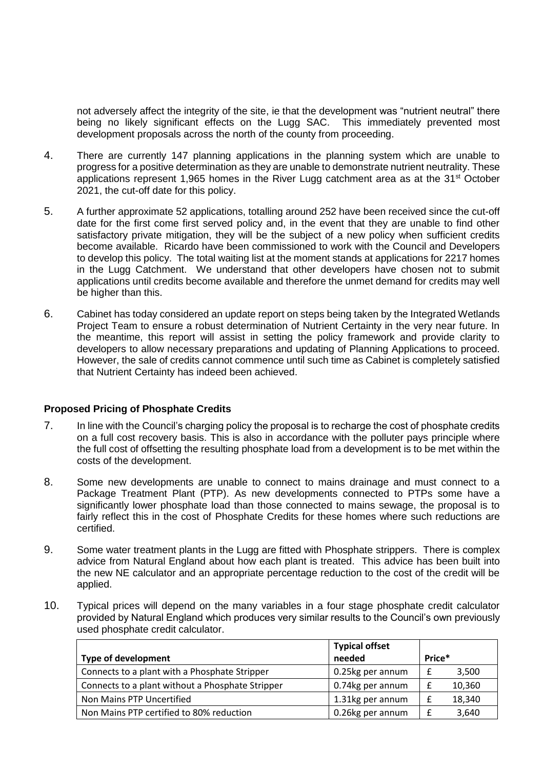not adversely affect the integrity of the site, ie that the development was "nutrient neutral" there being no likely significant effects on the Lugg SAC. This immediately prevented most development proposals across the north of the county from proceeding.

- 4. There are currently 147 planning applications in the planning system which are unable to progress for a positive determination as they are unable to demonstrate nutrient neutrality. These applications represent 1,965 homes in the River Lugg catchment area as at the 31<sup>st</sup> October 2021, the cut-off date for this policy.
- 5. A further approximate 52 applications, totalling around 252 have been received since the cut-off date for the first come first served policy and, in the event that they are unable to find other satisfactory private mitigation, they will be the subject of a new policy when sufficient credits become available. Ricardo have been commissioned to work with the Council and Developers to develop this policy. The total waiting list at the moment stands at applications for 2217 homes in the Lugg Catchment. We understand that other developers have chosen not to submit applications until credits become available and therefore the unmet demand for credits may well be higher than this.
- 6. Cabinet has today considered an update report on steps being taken by the Integrated Wetlands Project Team to ensure a robust determination of Nutrient Certainty in the very near future. In the meantime, this report will assist in setting the policy framework and provide clarity to developers to allow necessary preparations and updating of Planning Applications to proceed. However, the sale of credits cannot commence until such time as Cabinet is completely satisfied that Nutrient Certainty has indeed been achieved.

#### **Proposed Pricing of Phosphate Credits**

- 7. In line with the Council's charging policy the proposal is to recharge the cost of phosphate credits on a full cost recovery basis. This is also in accordance with the polluter pays principle where the full cost of offsetting the resulting phosphate load from a development is to be met within the costs of the development.
- 8. Some new developments are unable to connect to mains drainage and must connect to a Package Treatment Plant (PTP). As new developments connected to PTPs some have a significantly lower phosphate load than those connected to mains sewage, the proposal is to fairly reflect this in the cost of Phosphate Credits for these homes where such reductions are certified.
- 9. Some water treatment plants in the Lugg are fitted with Phosphate strippers. There is complex advice from Natural England about how each plant is treated. This advice has been built into the new NE calculator and an appropriate percentage reduction to the cost of the credit will be applied.
- 10. Typical prices will depend on the many variables in a four stage phosphate credit calculator provided by Natural England which produces very similar results to the Council's own previously used phosphate credit calculator.

|                                                  | <b>Typical offset</b> |        |        |
|--------------------------------------------------|-----------------------|--------|--------|
| <b>Type of development</b>                       | needed                | Price* |        |
| Connects to a plant with a Phosphate Stripper    | 0.25kg per annum      | £      | 3,500  |
| Connects to a plant without a Phosphate Stripper | 0.74kg per annum      | £      | 10,360 |
| Non Mains PTP Uncertified                        | 1.31kg per annum      | £      | 18,340 |
| Non Mains PTP certified to 80% reduction         | 0.26kg per annum      | £      | 3,640  |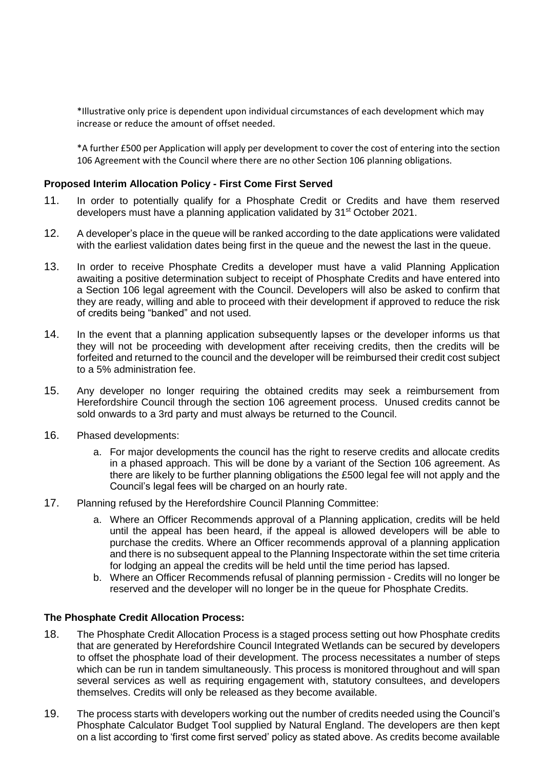\*Illustrative only price is dependent upon individual circumstances of each development which may increase or reduce the amount of offset needed.

\*A further £500 per Application will apply per development to cover the cost of entering into the section 106 Agreement with the Council where there are no other Section 106 planning obligations.

#### **Proposed Interim Allocation Policy - First Come First Served**

- 11. In order to potentially qualify for a Phosphate Credit or Credits and have them reserved developers must have a planning application validated by 31<sup>st</sup> October 2021.
- 12. A developer's place in the queue will be ranked according to the date applications were validated with the earliest validation dates being first in the queue and the newest the last in the queue.
- 13. In order to receive Phosphate Credits a developer must have a valid Planning Application awaiting a positive determination subject to receipt of Phosphate Credits and have entered into a Section 106 legal agreement with the Council. Developers will also be asked to confirm that they are ready, willing and able to proceed with their development if approved to reduce the risk of credits being "banked" and not used.
- 14. In the event that a planning application subsequently lapses or the developer informs us that they will not be proceeding with development after receiving credits, then the credits will be forfeited and returned to the council and the developer will be reimbursed their credit cost subject to a 5% administration fee.
- 15. Any developer no longer requiring the obtained credits may seek a reimbursement from Herefordshire Council through the section 106 agreement process. Unused credits cannot be sold onwards to a 3rd party and must always be returned to the Council.
- 16. Phased developments:
	- a. For major developments the council has the right to reserve credits and allocate credits in a phased approach. This will be done by a variant of the Section 106 agreement. As there are likely to be further planning obligations the £500 legal fee will not apply and the Council's legal fees will be charged on an hourly rate.
- 17. Planning refused by the Herefordshire Council Planning Committee:
	- a. Where an Officer Recommends approval of a Planning application, credits will be held until the appeal has been heard, if the appeal is allowed developers will be able to purchase the credits. Where an Officer recommends approval of a planning application and there is no subsequent appeal to the Planning Inspectorate within the set time criteria for lodging an appeal the credits will be held until the time period has lapsed.
	- b. Where an Officer Recommends refusal of planning permission Credits will no longer be reserved and the developer will no longer be in the queue for Phosphate Credits.

#### **The Phosphate Credit Allocation Process:**

- 18. The Phosphate Credit Allocation Process is a staged process setting out how Phosphate credits that are generated by Herefordshire Council Integrated Wetlands can be secured by developers to offset the phosphate load of their development. The process necessitates a number of steps which can be run in tandem simultaneously. This process is monitored throughout and will span several services as well as requiring engagement with, statutory consultees, and developers themselves. Credits will only be released as they become available.
- 19. The process starts with developers working out the number of credits needed using the Council's Phosphate Calculator Budget Tool supplied by Natural England. The developers are then kept on a list according to 'first come first served' policy as stated above. As credits become available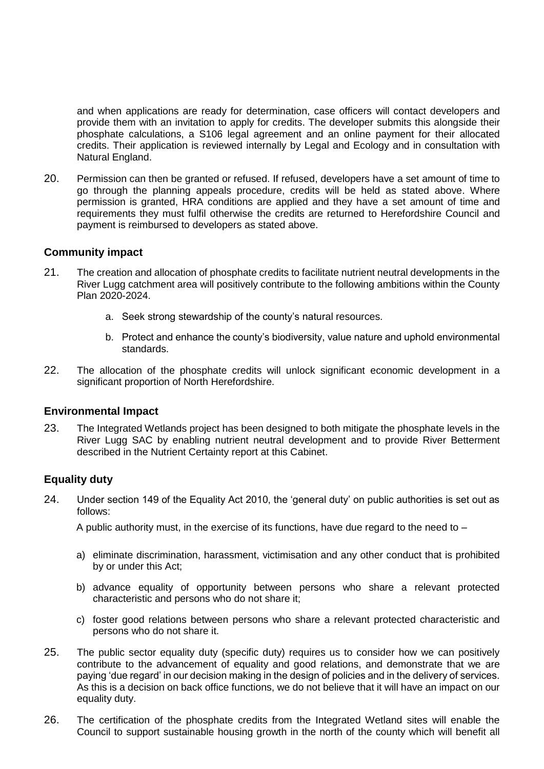and when applications are ready for determination, case officers will contact developers and provide them with an invitation to apply for credits. The developer submits this alongside their phosphate calculations, a S106 legal agreement and an online payment for their allocated credits. Their application is reviewed internally by Legal and Ecology and in consultation with Natural England.

20. Permission can then be granted or refused. If refused, developers have a set amount of time to go through the planning appeals procedure, credits will be held as stated above. Where permission is granted, HRA conditions are applied and they have a set amount of time and requirements they must fulfil otherwise the credits are returned to Herefordshire Council and payment is reimbursed to developers as stated above.

# **Community impact**

- 21. The creation and allocation of phosphate credits to facilitate nutrient neutral developments in the River Lugg catchment area will positively contribute to the following ambitions within the County Plan 2020-2024.
	- a. Seek strong stewardship of the county's natural resources.
	- b. Protect and enhance the county's biodiversity, value nature and uphold environmental standards.
- 22. The allocation of the phosphate credits will unlock significant economic development in a significant proportion of North Herefordshire.

#### **Environmental Impact**

23. The Integrated Wetlands project has been designed to both mitigate the phosphate levels in the River Lugg SAC by enabling nutrient neutral development and to provide River Betterment described in the Nutrient Certainty report at this Cabinet.

# **Equality duty**

24. Under section 149 of the Equality Act 2010, the 'general duty' on public authorities is set out as follows:

A public authority must, in the exercise of its functions, have due regard to the need to  $-$ 

- a) eliminate discrimination, harassment, victimisation and any other conduct that is prohibited by or under this Act;
- b) advance equality of opportunity between persons who share a relevant protected characteristic and persons who do not share it;
- c) foster good relations between persons who share a relevant protected characteristic and persons who do not share it.
- 25. The public sector equality duty (specific duty) requires us to consider how we can positively contribute to the advancement of equality and good relations, and demonstrate that we are paying 'due regard' in our decision making in the design of policies and in the delivery of services. As this is a decision on back office functions, we do not believe that it will have an impact on our equality duty.
- 26. The certification of the phosphate credits from the Integrated Wetland sites will enable the Council to support sustainable housing growth in the north of the county which will benefit all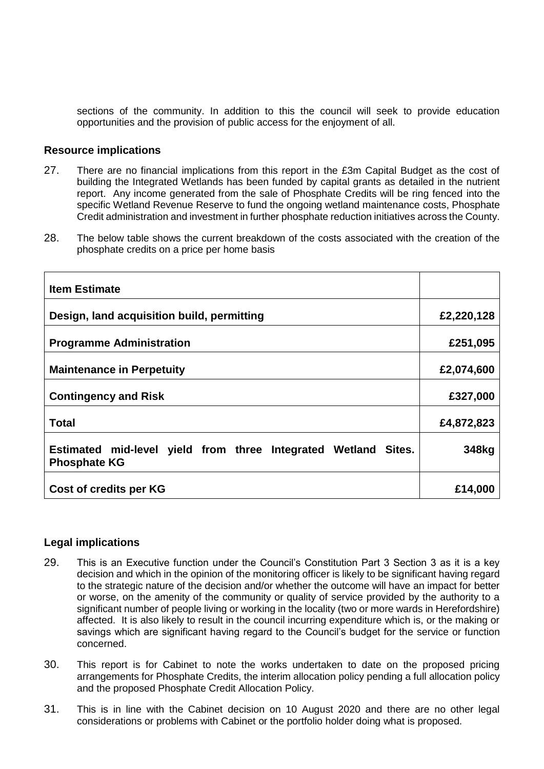sections of the community. In addition to this the council will seek to provide education opportunities and the provision of public access for the enjoyment of all.

#### **Resource implications**

- 27. There are no financial implications from this report in the £3m Capital Budget as the cost of building the Integrated Wetlands has been funded by capital grants as detailed in the nutrient report. Any income generated from the sale of Phosphate Credits will be ring fenced into the specific Wetland Revenue Reserve to fund the ongoing wetland maintenance costs, Phosphate Credit administration and investment in further phosphate reduction initiatives across the County.
- 28. The below table shows the current breakdown of the costs associated with the creation of the phosphate credits on a price per home basis

| <b>Item Estimate</b>                                                                  |            |
|---------------------------------------------------------------------------------------|------------|
| Design, land acquisition build, permitting                                            | £2,220,128 |
| <b>Programme Administration</b>                                                       | £251,095   |
| <b>Maintenance in Perpetuity</b>                                                      | £2,074,600 |
| <b>Contingency and Risk</b>                                                           | £327,000   |
| <b>Total</b>                                                                          | £4,872,823 |
| Estimated mid-level yield from three Integrated Wetland Sites.<br><b>Phosphate KG</b> | 348kg      |
| Cost of credits per KG                                                                | £14,000    |

#### **Legal implications**

- 29. This is an Executive function under the Council's Constitution Part 3 Section 3 as it is a key decision and which in the opinion of the monitoring officer is likely to be significant having regard to the strategic nature of the decision and/or whether the outcome will have an impact for better or worse, on the amenity of the community or quality of service provided by the authority to a significant number of people living or working in the locality (two or more wards in Herefordshire) affected. It is also likely to result in the council incurring expenditure which is, or the making or savings which are significant having regard to the Council's budget for the service or function concerned.
- 30. This report is for Cabinet to note the works undertaken to date on the proposed pricing arrangements for Phosphate Credits, the interim allocation policy pending a full allocation policy and the proposed Phosphate Credit Allocation Policy.
- 31. This is in line with the Cabinet decision on 10 August 2020 and there are no other legal considerations or problems with Cabinet or the portfolio holder doing what is proposed.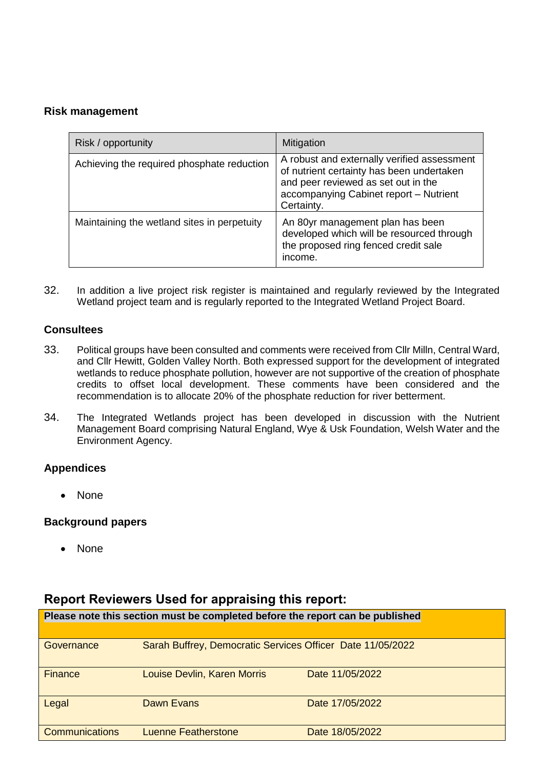# **Risk management**

| Risk / opportunity                          | Mitigation                                                                                                                                                                              |
|---------------------------------------------|-----------------------------------------------------------------------------------------------------------------------------------------------------------------------------------------|
| Achieving the required phosphate reduction  | A robust and externally verified assessment<br>of nutrient certainty has been undertaken<br>and peer reviewed as set out in the<br>accompanying Cabinet report - Nutrient<br>Certainty. |
| Maintaining the wetland sites in perpetuity | An 80yr management plan has been<br>developed which will be resourced through<br>the proposed ring fenced credit sale<br>income.                                                        |

32. In addition a live project risk register is maintained and regularly reviewed by the Integrated Wetland project team and is regularly reported to the Integrated Wetland Project Board.

# **Consultees**

- 33. Political groups have been consulted and comments were received from Cllr Milln, Central Ward, and Cllr Hewitt, Golden Valley North. Both expressed support for the development of integrated wetlands to reduce phosphate pollution, however are not supportive of the creation of phosphate credits to offset local development. These comments have been considered and the recommendation is to allocate 20% of the phosphate reduction for river betterment.
- 34. The Integrated Wetlands project has been developed in discussion with the Nutrient Management Board comprising Natural England, Wye & Usk Foundation, Welsh Water and the Environment Agency.

# **Appendices**

None

# **Background papers**

None

# **Report Reviewers Used for appraising this report:**

| Please note this section must be completed before the report can be published |                                                            |                 |  |
|-------------------------------------------------------------------------------|------------------------------------------------------------|-----------------|--|
|                                                                               |                                                            |                 |  |
| Governance                                                                    | Sarah Buffrey, Democratic Services Officer Date 11/05/2022 |                 |  |
| <b>Finance</b>                                                                | <b>Louise Devlin, Karen Morris</b>                         | Date 11/05/2022 |  |
| Legal                                                                         | Dawn Evans                                                 | Date 17/05/2022 |  |
| <b>Communications</b>                                                         | <b>Luenne Featherstone</b>                                 | Date 18/05/2022 |  |